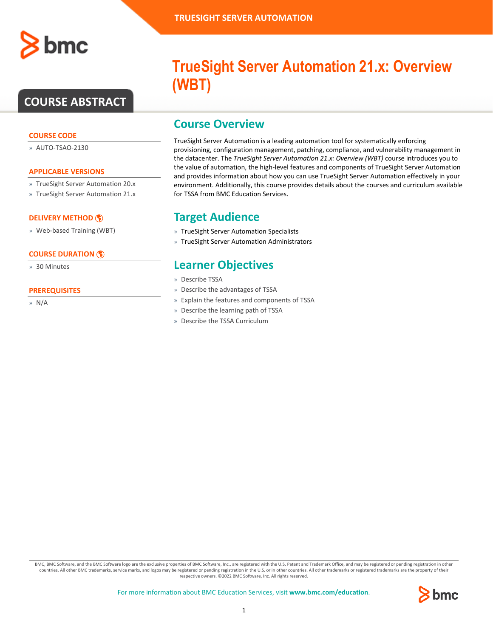

# **COURSE ABSTRACT**

#### **COURSE CODE**

» AUTO-TSAO-2130

#### **APPLICABLE VERSIONS**

- » TrueSight Server Automation 20.x
- » TrueSight Server Automation 21.x

### **[DELIVERY METHOD](http://www.bmc.com/education/modality.html)**

» Web-based Training (WBT)

### **[COURSE DURATION](http://www.bmc.com/education/learning-paths/education-filters-learning-paths.html)**

» 30 Minutes

#### **PREREQUISITES**

» N/A

# **TrueSight Server Automation 21.x: Overview (WBT)**

### **Course Overview**

TrueSight Server Automation is a leading automation tool for systematically enforcing provisioning, configuration management, patching, compliance, and vulnerability management in the datacenter. The *TrueSight Server Automation 21.x: Overview (WBT)* course introduces you to the value of automation, the high-level features and components of TrueSight Server Automation and provides information about how you can use TrueSight Server Automation effectively in your environment. Additionally, this course provides details about the courses and curriculum available for TSSA from BMC Education Services.

### **Target Audience**

- » TrueSight Server Automation Specialists
- » TrueSight Server Automation Administrators

### **Learner Objectives**

- » Describe TSSA
- » Describe the advantages of TSSA
- » Explain the features and components of TSSA
- » Describe the learning path of TSSA
- » Describe the TSSA Curriculum

BMC, BMC Software, and the BMC Software logo are the exclusive properties of BMC Software, Inc., are registered with the U.S. Patent and Trademark Office, and may be registered or pending registration in other countries. All other BMC trademarks, service marks, and logos may be registered or pending registration in the U.S. or in other countries. All other trademarks or registered trademarks are the property of their respective owners. ©2022 BMC Software, Inc. All rights reserved.